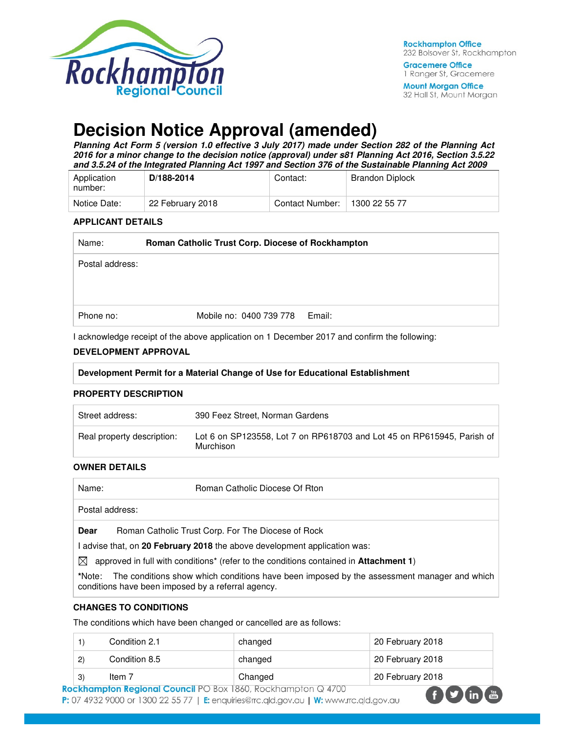

**Mount Morgan Office** 32 Hall St, Mount Morgan

# **Decision Notice Approval (amended)**

**Planning Act Form 5 (version 1.0 effective 3 July 2017) made under Section 282 of the Planning Act 2016 for a minor change to the decision notice (approval) under s81 Planning Act 2016, Section 3.5.22 and 3.5.24 of the Integrated Planning Act 1997 and Section 376 of the Sustainable Planning Act 2009** 

| Application<br>number: | D/188-2014       | Contact:        | <b>Brandon Diplock</b> |
|------------------------|------------------|-----------------|------------------------|
| Notice Date:           | 22 February 2018 | Contact Number: | 1300 22 55 77          |

#### **APPLICANT DETAILS**

| Roman Catholic Trust Corp. Diocese of Rockhampton |  |
|---------------------------------------------------|--|
| Postal address:                                   |  |
|                                                   |  |
|                                                   |  |
| Mobile no: 0400 739 778<br>Email:                 |  |
|                                                   |  |

I acknowledge receipt of the above application on 1 December 2017 and confirm the following:

#### **DEVELOPMENT APPROVAL**

#### **Development Permit for a Material Change of Use for Educational Establishment**

#### **PROPERTY DESCRIPTION**

| Street address:            | 390 Feez Street, Norman Gardens                                                     |
|----------------------------|-------------------------------------------------------------------------------------|
| Real property description: | Lot 6 on SP123558, Lot 7 on RP618703 and Lot 45 on RP615945, Parish of<br>Murchison |

#### **OWNER DETAILS**

| Name:                        | Roman Catholic Diocese Of Rton |
|------------------------------|--------------------------------|
| <sup>'</sup> Postal address: |                                |
|                              |                                |

**Dear** Roman Catholic Trust Corp. For The Diocese of Rock

I advise that, on **20 February 2018** the above development application was:

 $\boxtimes$  approved in full with conditions<sup>\*</sup> (refer to the conditions contained in **Attachment 1**)

**\***Note:The conditions show which conditions have been imposed by the assessment manager and which conditions have been imposed by a referral agency.

#### **CHANGES TO CONDITIONS**

The conditions which have been changed or cancelled are as follows:

|     | Condition 2.1 | changed | 20 February 2018 |
|-----|---------------|---------|------------------|
| (2) | Condition 8.5 | changed | 20 February 2018 |
| 3)  | Item 7        | Changed | 20 February 2018 |

Rockhampton Regional Council PO Box 1860, Rockhampton Q 4/00 P: 07 4932 9000 or 1300 22 55 77 | E: enquiries@rrc.qld.gov.au | W: www.rrc.qld.gov.au

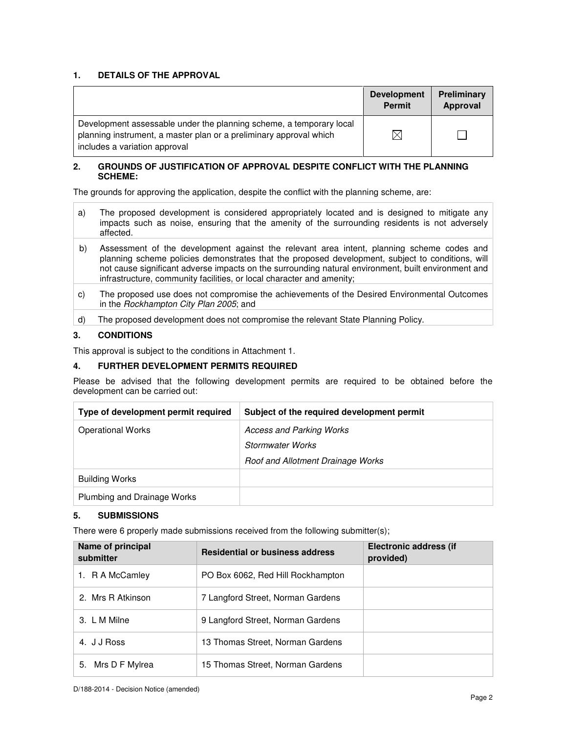## **1. DETAILS OF THE APPROVAL**

|                                                                                                                                                                            | <b>Development</b><br><b>Permit</b> | Preliminary<br>Approval |
|----------------------------------------------------------------------------------------------------------------------------------------------------------------------------|-------------------------------------|-------------------------|
| Development assessable under the planning scheme, a temporary local<br>planning instrument, a master plan or a preliminary approval which<br>includes a variation approval | $\boxtimes$                         |                         |

#### **2. GROUNDS OF JUSTIFICATION OF APPROVAL DESPITE CONFLICT WITH THE PLANNING SCHEME:**

The grounds for approving the application, despite the conflict with the planning scheme, are:

- a) The proposed development is considered appropriately located and is designed to mitigate any impacts such as noise, ensuring that the amenity of the surrounding residents is not adversely affected.
- b) Assessment of the development against the relevant area intent, planning scheme codes and planning scheme policies demonstrates that the proposed development, subject to conditions, will not cause significant adverse impacts on the surrounding natural environment, built environment and infrastructure, community facilities, or local character and amenity;
- c) The proposed use does not compromise the achievements of the Desired Environmental Outcomes in the Rockhampton City Plan 2005; and
- d) The proposed development does not compromise the relevant State Planning Policy.

## **3. CONDITIONS**

This approval is subject to the conditions in Attachment 1.

#### **4. FURTHER DEVELOPMENT PERMITS REQUIRED**

Please be advised that the following development permits are required to be obtained before the development can be carried out:

| Type of development permit required | Subject of the required development permit |
|-------------------------------------|--------------------------------------------|
| <b>Operational Works</b>            | <b>Access and Parking Works</b>            |
|                                     | Stormwater Works                           |
|                                     | Roof and Allotment Drainage Works          |
| <b>Building Works</b>               |                                            |
| Plumbing and Drainage Works         |                                            |

#### **5. SUBMISSIONS**

There were 6 properly made submissions received from the following submitter(s);

| Name of principal<br>submitter | <b>Residential or business address</b> | Electronic address (if<br>provided) |
|--------------------------------|----------------------------------------|-------------------------------------|
| 1. R A McCamley                | PO Box 6062, Red Hill Rockhampton      |                                     |
| 2. Mrs R Atkinson              | 7 Langford Street, Norman Gardens      |                                     |
| 3. L M Milne                   | 9 Langford Street, Norman Gardens      |                                     |
| 4. J J Ross                    | 13 Thomas Street, Norman Gardens       |                                     |
| Mrs D F Mylrea<br>5.           | 15 Thomas Street, Norman Gardens       |                                     |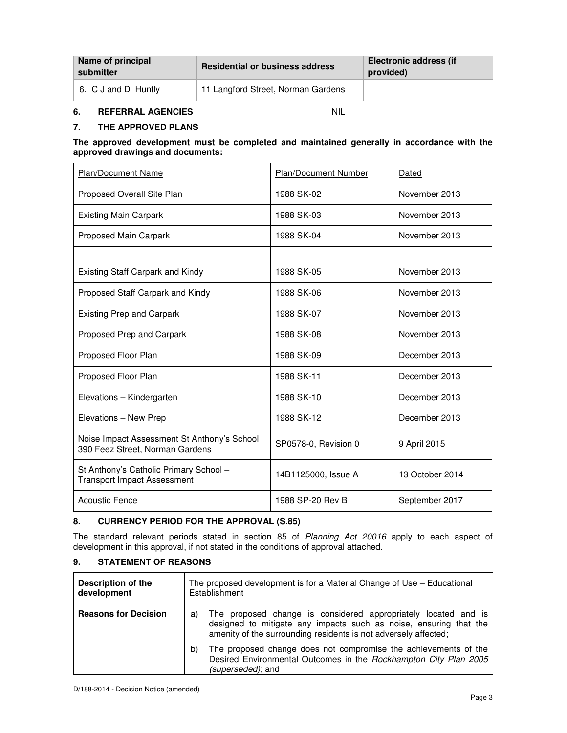| Name of principal<br>submitter | <b>Residential or business address</b> | <b>Electronic address (if</b><br>provided) |
|--------------------------------|----------------------------------------|--------------------------------------------|
| 6. C J and D Huntly            | 11 Langford Street, Norman Gardens     |                                            |

# **6. REFERRAL AGENCIES** NIL

## **7. THE APPROVED PLANS**

#### **The approved development must be completed and maintained generally in accordance with the approved drawings and documents:**

| <b>Plan/Document Name</b>                                                      | <b>Plan/Document Number</b> | Dated           |
|--------------------------------------------------------------------------------|-----------------------------|-----------------|
| Proposed Overall Site Plan                                                     | 1988 SK-02                  | November 2013   |
| <b>Existing Main Carpark</b>                                                   | 1988 SK-03                  | November 2013   |
| Proposed Main Carpark                                                          | 1988 SK-04                  | November 2013   |
|                                                                                |                             |                 |
| Existing Staff Carpark and Kindy                                               | 1988 SK-05                  | November 2013   |
| Proposed Staff Carpark and Kindy                                               | 1988 SK-06                  | November 2013   |
| <b>Existing Prep and Carpark</b>                                               | 1988 SK-07                  | November 2013   |
| Proposed Prep and Carpark                                                      | 1988 SK-08                  | November 2013   |
| Proposed Floor Plan                                                            | 1988 SK-09                  | December 2013   |
| Proposed Floor Plan                                                            | 1988 SK-11                  | December 2013   |
| Elevations - Kindergarten                                                      | 1988 SK-10                  | December 2013   |
| Elevations - New Prep                                                          | 1988 SK-12                  | December 2013   |
| Noise Impact Assessment St Anthony's School<br>390 Feez Street, Norman Gardens | SP0578-0, Revision 0        | 9 April 2015    |
| St Anthony's Catholic Primary School -<br><b>Transport Impact Assessment</b>   | 14B1125000, Issue A         | 13 October 2014 |
| <b>Acoustic Fence</b>                                                          | 1988 SP-20 Rev B            | September 2017  |

## **8. CURRENCY PERIOD FOR THE APPROVAL (S.85)**

The standard relevant periods stated in section 85 of Planning Act 20016 apply to each aspect of development in this approval, if not stated in the conditions of approval attached.

# **9. STATEMENT OF REASONS**

| <b>Description of the</b><br>development | The proposed development is for a Material Change of Use – Educational<br>Establishment                                                                                                                      |  |
|------------------------------------------|--------------------------------------------------------------------------------------------------------------------------------------------------------------------------------------------------------------|--|
| <b>Reasons for Decision</b>              | The proposed change is considered appropriately located and is<br>a)<br>designed to mitigate any impacts such as noise, ensuring that the<br>amenity of the surrounding residents is not adversely affected; |  |
|                                          | The proposed change does not compromise the achievements of the<br>b)<br>Desired Environmental Outcomes in the Rockhampton City Plan 2005<br><i>(superseded)</i> ; and                                       |  |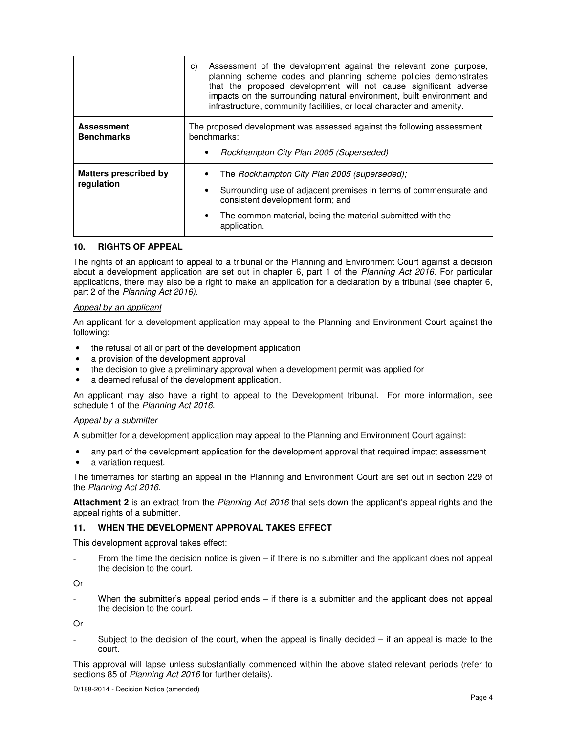|                                            | Assessment of the development against the relevant zone purpose,<br>C)<br>planning scheme codes and planning scheme policies demonstrates<br>that the proposed development will not cause significant adverse<br>impacts on the surrounding natural environment, built environment and<br>infrastructure, community facilities, or local character and amenity. |
|--------------------------------------------|-----------------------------------------------------------------------------------------------------------------------------------------------------------------------------------------------------------------------------------------------------------------------------------------------------------------------------------------------------------------|
| <b>Assessment</b><br><b>Benchmarks</b>     | The proposed development was assessed against the following assessment<br>benchmarks:<br>Rockhampton City Plan 2005 (Superseded)                                                                                                                                                                                                                                |
| <b>Matters prescribed by</b><br>regulation | The Rockhampton City Plan 2005 (superseded);<br>Surrounding use of adjacent premises in terms of commensurate and<br>$\bullet$<br>consistent development form; and<br>The common material, being the material submitted with the<br>$\bullet$<br>application.                                                                                                   |

#### **10. RIGHTS OF APPEAL**

The rights of an applicant to appeal to a tribunal or the Planning and Environment Court against a decision about a development application are set out in chapter 6, part 1 of the Planning Act 2016. For particular applications, there may also be a right to make an application for a declaration by a tribunal (see chapter 6, part 2 of the Planning Act 2016).

#### Appeal by an applicant

An applicant for a development application may appeal to the Planning and Environment Court against the following:

- the refusal of all or part of the development application
- a provision of the development approval
- the decision to give a preliminary approval when a development permit was applied for
- a deemed refusal of the development application.

An applicant may also have a right to appeal to the Development tribunal. For more information, see schedule 1 of the Planning Act 2016.

#### Appeal by a submitter

A submitter for a development application may appeal to the Planning and Environment Court against:

- any part of the development application for the development approval that required impact assessment
- a variation request.

The timeframes for starting an appeal in the Planning and Environment Court are set out in section 229 of the Planning Act 2016.

**Attachment 2** is an extract from the Planning Act 2016 that sets down the applicant's appeal rights and the appeal rights of a submitter.

#### **11. WHEN THE DEVELOPMENT APPROVAL TAKES EFFECT**

This development approval takes effect:

From the time the decision notice is given – if there is no submitter and the applicant does not appeal the decision to the court.

Or

When the submitter's appeal period ends – if there is a submitter and the applicant does not appeal the decision to the court.

Or

Subject to the decision of the court, when the appeal is finally decided  $-$  if an appeal is made to the court.

This approval will lapse unless substantially commenced within the above stated relevant periods (refer to sections 85 of Planning Act 2016 for further details).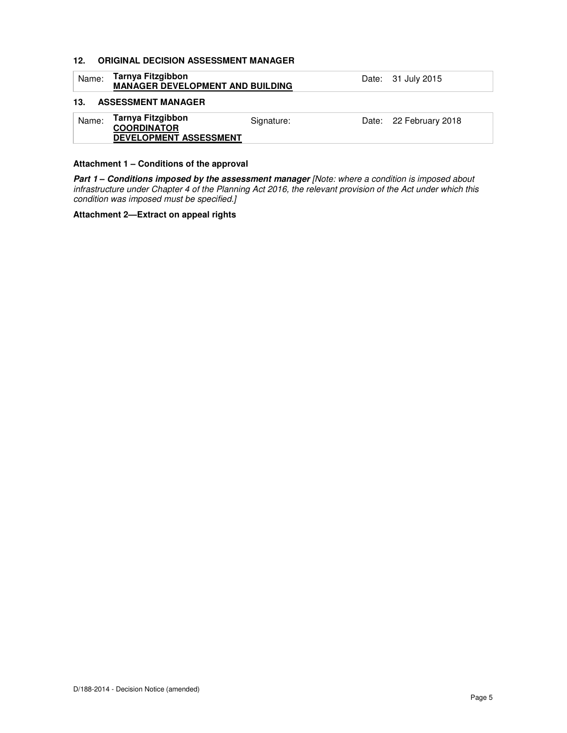## **12. ORIGINAL DECISION ASSESSMENT MANAGER**

| Name: | Tarnya Fitzgibbon<br><b>MANAGER DEVELOPMENT AND BUILDING</b>             |            | Date: 31 July 2015     |
|-------|--------------------------------------------------------------------------|------------|------------------------|
| 13.   | <b>ASSESSMENT MANAGER</b>                                                |            |                        |
| Name: | Tarnya Fitzgibbon<br><b>COORDINATOR</b><br><b>DEVELOPMENT ASSESSMENT</b> | Signature: | Date: 22 February 2018 |

#### **Attachment 1 – Conditions of the approval**

Part 1 - Conditions imposed by the assessment manager [Note: where a condition is imposed about infrastructure under Chapter 4 of the Planning Act 2016, the relevant provision of the Act under which this condition was imposed must be specified.]

#### **Attachment 2—Extract on appeal rights**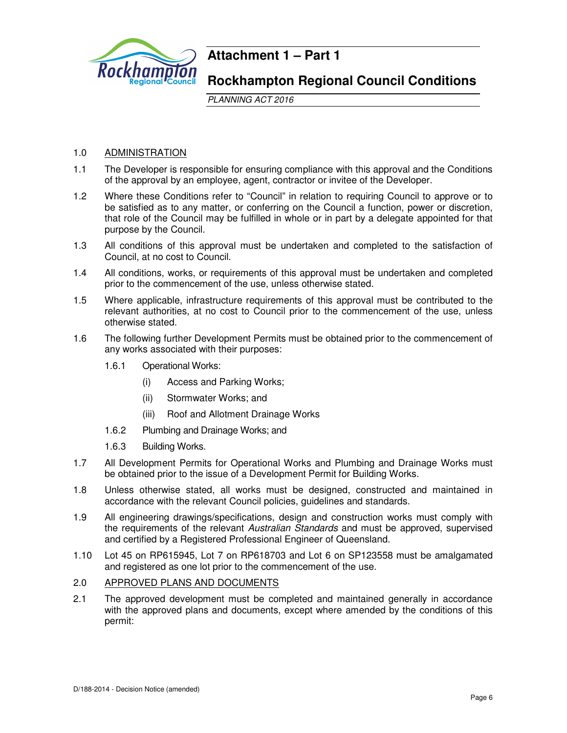

# **Attachment 1 – Part 1**

# **Rockhampton Regional Council Conditions**

PLANNING ACT 2016

# 1.0 ADMINISTRATION

- 1.1 The Developer is responsible for ensuring compliance with this approval and the Conditions of the approval by an employee, agent, contractor or invitee of the Developer.
- 1.2 Where these Conditions refer to "Council" in relation to requiring Council to approve or to be satisfied as to any matter, or conferring on the Council a function, power or discretion, that role of the Council may be fulfilled in whole or in part by a delegate appointed for that purpose by the Council.
- 1.3 All conditions of this approval must be undertaken and completed to the satisfaction of Council, at no cost to Council.
- 1.4 All conditions, works, or requirements of this approval must be undertaken and completed prior to the commencement of the use, unless otherwise stated.
- 1.5 Where applicable, infrastructure requirements of this approval must be contributed to the relevant authorities, at no cost to Council prior to the commencement of the use, unless otherwise stated.
- 1.6 The following further Development Permits must be obtained prior to the commencement of any works associated with their purposes:
	- 1.6.1 Operational Works:
		- (i) Access and Parking Works;
		- (ii) Stormwater Works; and
		- (iii) Roof and Allotment Drainage Works
	- 1.6.2 Plumbing and Drainage Works; and
	- 1.6.3 Building Works.
- 1.7 All Development Permits for Operational Works and Plumbing and Drainage Works must be obtained prior to the issue of a Development Permit for Building Works.
- 1.8 Unless otherwise stated, all works must be designed, constructed and maintained in accordance with the relevant Council policies, guidelines and standards.
- 1.9 All engineering drawings/specifications, design and construction works must comply with the requirements of the relevant Australian Standards and must be approved, supervised and certified by a Registered Professional Engineer of Queensland.
- 1.10 Lot 45 on RP615945, Lot 7 on RP618703 and Lot 6 on SP123558 must be amalgamated and registered as one lot prior to the commencement of the use.
- 2.0 APPROVED PLANS AND DOCUMENTS
- 2.1 The approved development must be completed and maintained generally in accordance with the approved plans and documents, except where amended by the conditions of this permit: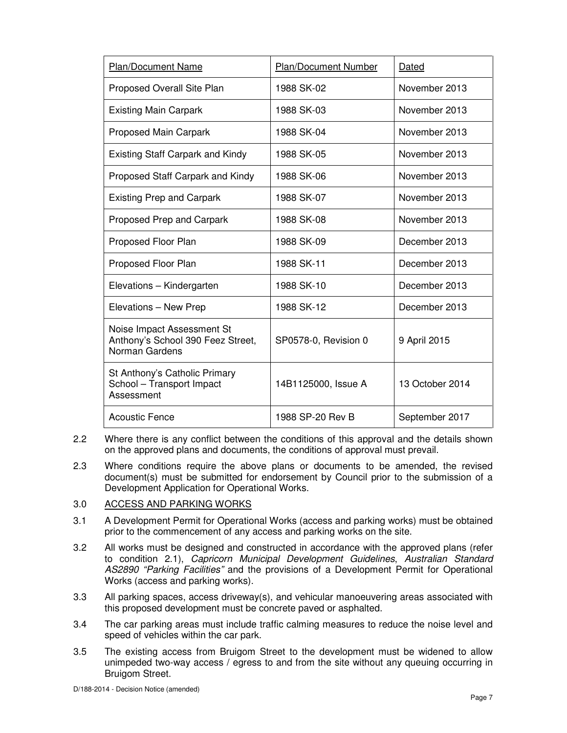| Plan/Document Name                                                                | <b>Plan/Document Number</b> | Dated           |
|-----------------------------------------------------------------------------------|-----------------------------|-----------------|
| Proposed Overall Site Plan                                                        | 1988 SK-02                  | November 2013   |
| <b>Existing Main Carpark</b>                                                      | 1988 SK-03                  | November 2013   |
| Proposed Main Carpark                                                             | 1988 SK-04                  | November 2013   |
| Existing Staff Carpark and Kindy                                                  | 1988 SK-05                  | November 2013   |
| Proposed Staff Carpark and Kindy                                                  | 1988 SK-06                  | November 2013   |
| <b>Existing Prep and Carpark</b>                                                  | 1988 SK-07                  | November 2013   |
| Proposed Prep and Carpark                                                         | 1988 SK-08                  | November 2013   |
| Proposed Floor Plan                                                               | 1988 SK-09                  | December 2013   |
| Proposed Floor Plan                                                               | 1988 SK-11                  | December 2013   |
| Elevations - Kindergarten                                                         | 1988 SK-10                  | December 2013   |
| Elevations - New Prep                                                             | 1988 SK-12                  | December 2013   |
| Noise Impact Assessment St<br>Anthony's School 390 Feez Street,<br>Norman Gardens | SP0578-0, Revision 0        | 9 April 2015    |
| St Anthony's Catholic Primary<br>School - Transport Impact<br>Assessment          | 14B1125000, Issue A         | 13 October 2014 |
| <b>Acoustic Fence</b>                                                             | 1988 SP-20 Rev B            | September 2017  |

- 2.2 Where there is any conflict between the conditions of this approval and the details shown on the approved plans and documents, the conditions of approval must prevail.
- 2.3 Where conditions require the above plans or documents to be amended, the revised document(s) must be submitted for endorsement by Council prior to the submission of a Development Application for Operational Works.

# 3.0 ACCESS AND PARKING WORKS

- 3.1 A Development Permit for Operational Works (access and parking works) must be obtained prior to the commencement of any access and parking works on the site.
- 3.2 All works must be designed and constructed in accordance with the approved plans (refer to condition 2.1), Capricorn Municipal Development Guidelines, Australian Standard AS2890 "Parking Facilities" and the provisions of a Development Permit for Operational Works (access and parking works).
- 3.3 All parking spaces, access driveway(s), and vehicular manoeuvering areas associated with this proposed development must be concrete paved or asphalted.
- 3.4 The car parking areas must include traffic calming measures to reduce the noise level and speed of vehicles within the car park.
- 3.5 The existing access from Bruigom Street to the development must be widened to allow unimpeded two-way access / egress to and from the site without any queuing occurring in Bruigom Street.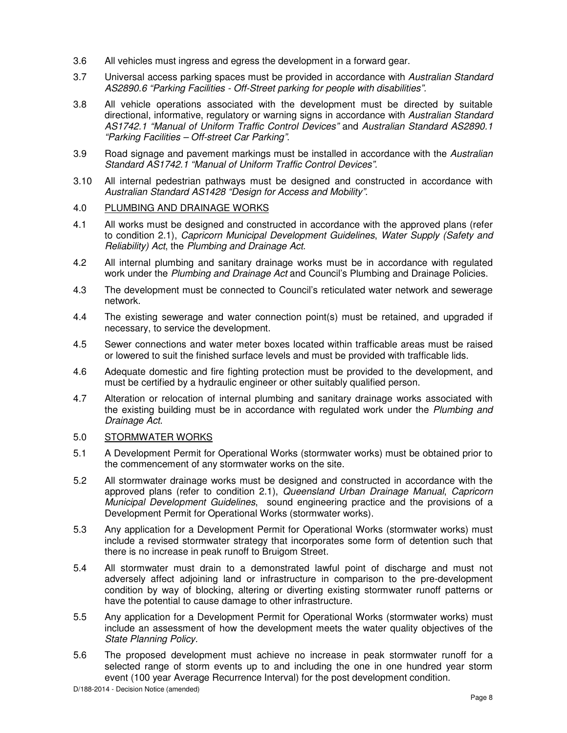- 3.6 All vehicles must ingress and egress the development in a forward gear.
- 3.7 Universal access parking spaces must be provided in accordance with Australian Standard AS2890.6 "Parking Facilities - Off-Street parking for people with disabilities".
- 3.8 All vehicle operations associated with the development must be directed by suitable directional, informative, regulatory or warning signs in accordance with Australian Standard AS1742.1 "Manual of Uniform Traffic Control Devices" and Australian Standard AS2890.1 "Parking Facilities – Off-street Car Parking".
- 3.9 Road signage and pavement markings must be installed in accordance with the Australian Standard AS1742.1 "Manual of Uniform Traffic Control Devices".
- 3.10 All internal pedestrian pathways must be designed and constructed in accordance with Australian Standard AS1428 "Design for Access and Mobility".

# 4.0 PLUMBING AND DRAINAGE WORKS

- 4.1 All works must be designed and constructed in accordance with the approved plans (refer to condition 2.1), Capricorn Municipal Development Guidelines, Water Supply (Safety and Reliability) Act, the Plumbing and Drainage Act.
- 4.2 All internal plumbing and sanitary drainage works must be in accordance with regulated work under the Plumbing and Drainage Act and Council's Plumbing and Drainage Policies.
- 4.3 The development must be connected to Council's reticulated water network and sewerage network.
- 4.4 The existing sewerage and water connection point(s) must be retained, and upgraded if necessary, to service the development.
- 4.5 Sewer connections and water meter boxes located within trafficable areas must be raised or lowered to suit the finished surface levels and must be provided with trafficable lids.
- 4.6 Adequate domestic and fire fighting protection must be provided to the development, and must be certified by a hydraulic engineer or other suitably qualified person.
- 4.7 Alteration or relocation of internal plumbing and sanitary drainage works associated with the existing building must be in accordance with regulated work under the Plumbing and Drainage Act.

#### 5.0 STORMWATER WORKS

- 5.1 A Development Permit for Operational Works (stormwater works) must be obtained prior to the commencement of any stormwater works on the site.
- 5.2 All stormwater drainage works must be designed and constructed in accordance with the approved plans (refer to condition 2.1), Queensland Urban Drainage Manual, Capricorn Municipal Development Guidelines, sound engineering practice and the provisions of a Development Permit for Operational Works (stormwater works).
- 5.3 Any application for a Development Permit for Operational Works (stormwater works) must include a revised stormwater strategy that incorporates some form of detention such that there is no increase in peak runoff to Bruigom Street.
- 5.4 All stormwater must drain to a demonstrated lawful point of discharge and must not adversely affect adjoining land or infrastructure in comparison to the pre-development condition by way of blocking, altering or diverting existing stormwater runoff patterns or have the potential to cause damage to other infrastructure.
- 5.5 Any application for a Development Permit for Operational Works (stormwater works) must include an assessment of how the development meets the water quality objectives of the State Planning Policy.
- 5.6 The proposed development must achieve no increase in peak stormwater runoff for a selected range of storm events up to and including the one in one hundred year storm event (100 year Average Recurrence Interval) for the post development condition.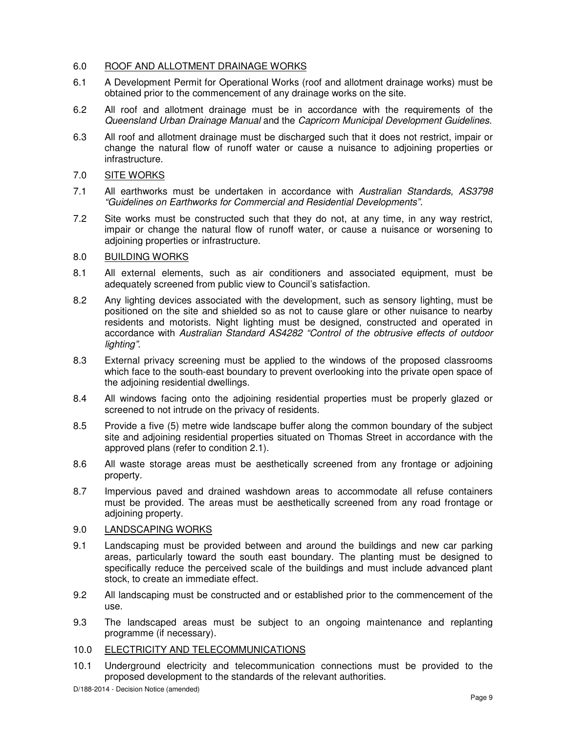# 6.0 ROOF AND ALLOTMENT DRAINAGE WORKS

- 6.1 A Development Permit for Operational Works (roof and allotment drainage works) must be obtained prior to the commencement of any drainage works on the site.
- 6.2 All roof and allotment drainage must be in accordance with the requirements of the Queensland Urban Drainage Manual and the Capricorn Municipal Development Guidelines.
- 6.3 All roof and allotment drainage must be discharged such that it does not restrict, impair or change the natural flow of runoff water or cause a nuisance to adjoining properties or infrastructure.

# 7.0 SITE WORKS

- 7.1 All earthworks must be undertaken in accordance with Australian Standards, AS3798 "Guidelines on Earthworks for Commercial and Residential Developments".
- 7.2 Site works must be constructed such that they do not, at any time, in any way restrict, impair or change the natural flow of runoff water, or cause a nuisance or worsening to adjoining properties or infrastructure.

# 8.0 BUILDING WORKS

- 8.1 All external elements, such as air conditioners and associated equipment, must be adequately screened from public view to Council's satisfaction.
- 8.2 Any lighting devices associated with the development, such as sensory lighting, must be positioned on the site and shielded so as not to cause glare or other nuisance to nearby residents and motorists. Night lighting must be designed, constructed and operated in accordance with Australian Standard AS4282 "Control of the obtrusive effects of outdoor lighting".
- 8.3 External privacy screening must be applied to the windows of the proposed classrooms which face to the south-east boundary to prevent overlooking into the private open space of the adjoining residential dwellings.
- 8.4 All windows facing onto the adjoining residential properties must be properly glazed or screened to not intrude on the privacy of residents.
- 8.5 Provide a five (5) metre wide landscape buffer along the common boundary of the subject site and adjoining residential properties situated on Thomas Street in accordance with the approved plans (refer to condition 2.1).
- 8.6 All waste storage areas must be aesthetically screened from any frontage or adjoining property.
- 8.7 Impervious paved and drained washdown areas to accommodate all refuse containers must be provided. The areas must be aesthetically screened from any road frontage or adjoining property.

#### 9.0 LANDSCAPING WORKS

- 9.1 Landscaping must be provided between and around the buildings and new car parking areas, particularly toward the south east boundary. The planting must be designed to specifically reduce the perceived scale of the buildings and must include advanced plant stock, to create an immediate effect.
- 9.2 All landscaping must be constructed and or established prior to the commencement of the use.
- 9.3 The landscaped areas must be subject to an ongoing maintenance and replanting programme (if necessary).
- 10.0 ELECTRICITY AND TELECOMMUNICATIONS
- 10.1 Underground electricity and telecommunication connections must be provided to the proposed development to the standards of the relevant authorities.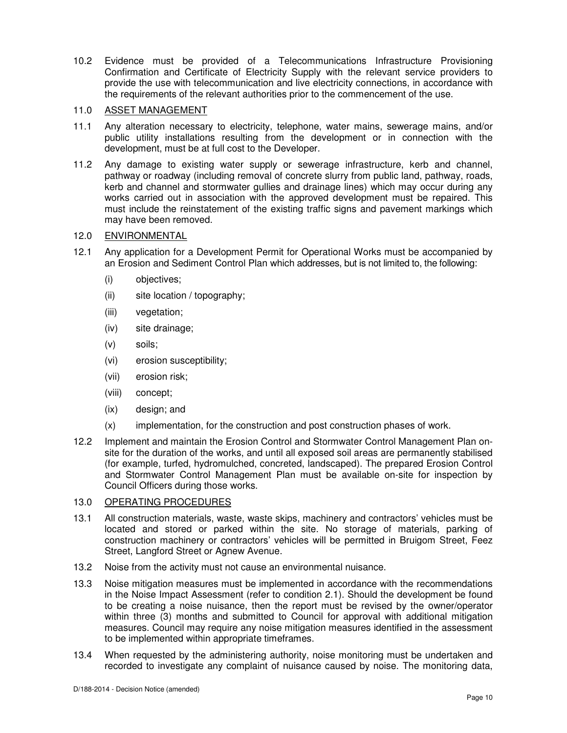10.2 Evidence must be provided of a Telecommunications Infrastructure Provisioning Confirmation and Certificate of Electricity Supply with the relevant service providers to provide the use with telecommunication and live electricity connections, in accordance with the requirements of the relevant authorities prior to the commencement of the use.

## 11.0 ASSET MANAGEMENT

- 11.1 Any alteration necessary to electricity, telephone, water mains, sewerage mains, and/or public utility installations resulting from the development or in connection with the development, must be at full cost to the Developer.
- 11.2 Any damage to existing water supply or sewerage infrastructure, kerb and channel, pathway or roadway (including removal of concrete slurry from public land, pathway, roads, kerb and channel and stormwater gullies and drainage lines) which may occur during any works carried out in association with the approved development must be repaired. This must include the reinstatement of the existing traffic signs and pavement markings which may have been removed.

# 12.0 ENVIRONMENTAL

- 12.1 Any application for a Development Permit for Operational Works must be accompanied by an Erosion and Sediment Control Plan which addresses, but is not limited to, the following:
	- (i) objectives;
	- (ii) site location / topography;
	- (iii) vegetation;
	- (iv) site drainage;
	- (v) soils;
	- (vi) erosion susceptibility;
	- (vii) erosion risk;
	- (viii) concept;
	- (ix) design; and
	- (x) implementation, for the construction and post construction phases of work.
- 12.2 Implement and maintain the Erosion Control and Stormwater Control Management Plan onsite for the duration of the works, and until all exposed soil areas are permanently stabilised (for example, turfed, hydromulched, concreted, landscaped). The prepared Erosion Control and Stormwater Control Management Plan must be available on-site for inspection by Council Officers during those works.

# 13.0 OPERATING PROCEDURES

- 13.1 All construction materials, waste, waste skips, machinery and contractors' vehicles must be located and stored or parked within the site. No storage of materials, parking of construction machinery or contractors' vehicles will be permitted in Bruigom Street, Feez Street, Langford Street or Agnew Avenue.
- 13.2 Noise from the activity must not cause an environmental nuisance.
- 13.3 Noise mitigation measures must be implemented in accordance with the recommendations in the Noise Impact Assessment (refer to condition 2.1). Should the development be found to be creating a noise nuisance, then the report must be revised by the owner/operator within three (3) months and submitted to Council for approval with additional mitigation measures. Council may require any noise mitigation measures identified in the assessment to be implemented within appropriate timeframes.
- 13.4 When requested by the administering authority, noise monitoring must be undertaken and recorded to investigate any complaint of nuisance caused by noise. The monitoring data,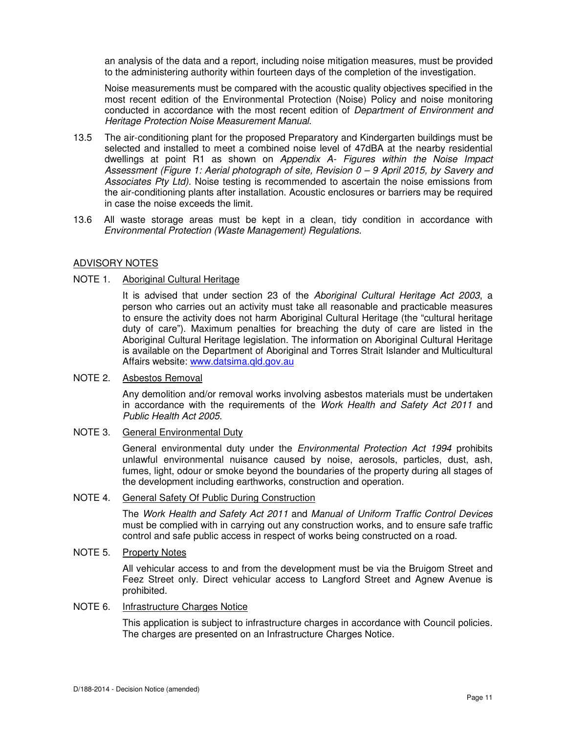an analysis of the data and a report, including noise mitigation measures, must be provided to the administering authority within fourteen days of the completion of the investigation.

Noise measurements must be compared with the acoustic quality objectives specified in the most recent edition of the Environmental Protection (Noise) Policy and noise monitoring conducted in accordance with the most recent edition of Department of Environment and Heritage Protection Noise Measurement Manual.

- 13.5 The air-conditioning plant for the proposed Preparatory and Kindergarten buildings must be selected and installed to meet a combined noise level of 47dBA at the nearby residential dwellings at point R1 as shown on Appendix A- Figures within the Noise Impact Assessment (Figure 1: Aerial photograph of site, Revision 0 – 9 April 2015, by Savery and Associates Pty Ltd). Noise testing is recommended to ascertain the noise emissions from the air-conditioning plants after installation. Acoustic enclosures or barriers may be required in case the noise exceeds the limit.
- 13.6 All waste storage areas must be kept in a clean, tidy condition in accordance with Environmental Protection (Waste Management) Regulations.

#### ADVISORY NOTES

## NOTE 1. Aboriginal Cultural Heritage

It is advised that under section 23 of the Aboriginal Cultural Heritage Act 2003, a person who carries out an activity must take all reasonable and practicable measures to ensure the activity does not harm Aboriginal Cultural Heritage (the "cultural heritage duty of care"). Maximum penalties for breaching the duty of care are listed in the Aboriginal Cultural Heritage legislation. The information on Aboriginal Cultural Heritage is available on the Department of Aboriginal and Torres Strait Islander and Multicultural Affairs website: www.datsima.qld.gov.au

#### NOTE 2. Asbestos Removal

Any demolition and/or removal works involving asbestos materials must be undertaken in accordance with the requirements of the Work Health and Safety Act 2011 and Public Health Act 2005.

#### NOTE 3. General Environmental Duty

General environmental duty under the *Environmental Protection Act 1994* prohibits unlawful environmental nuisance caused by noise, aerosols, particles, dust, ash, fumes, light, odour or smoke beyond the boundaries of the property during all stages of the development including earthworks, construction and operation.

#### NOTE 4. General Safety Of Public During Construction

The Work Health and Safety Act 2011 and Manual of Uniform Traffic Control Devices must be complied with in carrying out any construction works, and to ensure safe traffic control and safe public access in respect of works being constructed on a road.

#### NOTE 5. Property Notes

All vehicular access to and from the development must be via the Bruigom Street and Feez Street only. Direct vehicular access to Langford Street and Agnew Avenue is prohibited.

#### NOTE 6. Infrastructure Charges Notice

This application is subject to infrastructure charges in accordance with Council policies. The charges are presented on an Infrastructure Charges Notice.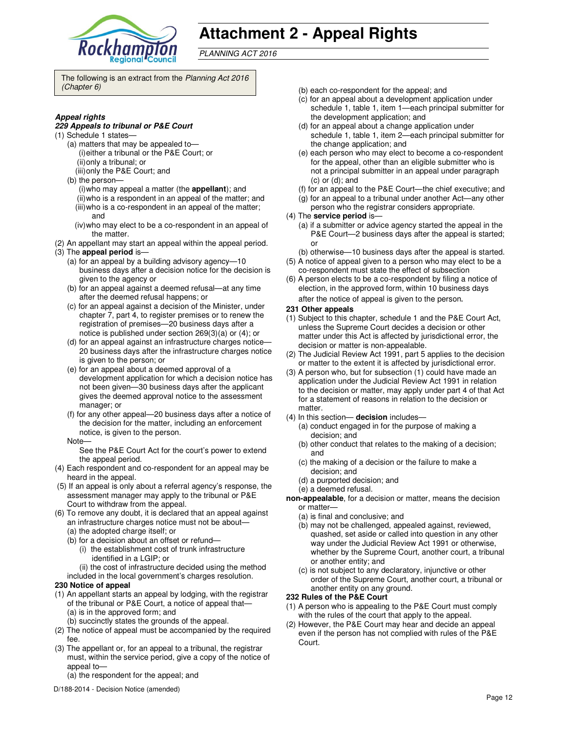

# **Attachment 2 - Appeal Rights**

PLANNING ACT 2016

The following is an extract from the Planning Act 2016 (Chapter 6)

#### **Appeal rights**

#### **229 Appeals to tribunal or P&E Court**

- (1) Schedule 1 states—
	- (a) matters that may be appealed to— (i) either a tribunal or the P&E Court; or (ii) only a tribunal; or
	- (iii) only the P&E Court; and
	- (b) the person—
		- (i) who may appeal a matter (the **appellant**); and
		- (ii) who is a respondent in an appeal of the matter; and (iii) who is a co-respondent in an appeal of the matter; and
		- (iv) who may elect to be a co-respondent in an appeal of the matter.
- (2) An appellant may start an appeal within the appeal period.
- (3) The **appeal period** is—
	- (a) for an appeal by a building advisory agency—10 business days after a decision notice for the decision is given to the agency or
	- (b) for an appeal against a deemed refusal—at any time after the deemed refusal happens; or
	- (c) for an appeal against a decision of the Minister, under chapter 7, part 4, to register premises or to renew the registration of premises—20 business days after a notice is published under section 269(3)(a) or (4); or
	- (d) for an appeal against an infrastructure charges notice— 20 business days after the infrastructure charges notice is given to the person; or
	- (e) for an appeal about a deemed approval of a development application for which a decision notice has not been given—30 business days after the applicant gives the deemed approval notice to the assessment manager; or
	- (f) for any other appeal—20 business days after a notice of the decision for the matter, including an enforcement notice, is given to the person.
	- Note—

See the P&E Court Act for the court's power to extend the appeal period.

- (4) Each respondent and co-respondent for an appeal may be heard in the appeal.
- (5) If an appeal is only about a referral agency's response, the assessment manager may apply to the tribunal or P&E Court to withdraw from the appeal.
- (6) To remove any doubt, it is declared that an appeal against an infrastructure charges notice must not be about— (a) the adopted charge itself; or
	- (b) for a decision about an offset or refund—
		- (i) the establishment cost of trunk infrastructure identified in a LGIP; or

(ii) the cost of infrastructure decided using the method

included in the local government's charges resolution.

- **230 Notice of appeal**
- (1) An appellant starts an appeal by lodging, with the registrar of the tribunal or P&E Court, a notice of appeal that—
	- (a) is in the approved form; and
	- (b) succinctly states the grounds of the appeal.
- (2) The notice of appeal must be accompanied by the required fee.
- (3) The appellant or, for an appeal to a tribunal, the registrar must, within the service period, give a copy of the notice of appeal to—
	- (a) the respondent for the appeal; and
- D/188-2014 Decision Notice (amended)
- (b) each co-respondent for the appeal; and
- (c) for an appeal about a development application under schedule 1, table 1, item 1—each principal submitter for the development application; and
- (d) for an appeal about a change application under schedule 1, table 1, item 2—each principal submitter for the change application; and
- (e) each person who may elect to become a co-respondent for the appeal, other than an eligible submitter who is not a principal submitter in an appeal under paragraph  $(c)$  or  $(d)$ ; and
- (f) for an appeal to the P&E Court—the chief executive; and
- (g) for an appeal to a tribunal under another Act—any other person who the registrar considers appropriate.
- (4) The **service period** is—
	- (a) if a submitter or advice agency started the appeal in the P&E Court-2 business days after the appeal is started; or
	- (b) otherwise—10 business days after the appeal is started.
- (5) A notice of appeal given to a person who may elect to be a co-respondent must state the effect of subsection
- (6) A person elects to be a co-respondent by filing a notice of election, in the approved form, within 10 business days after the notice of appeal is given to the person*.*
- **231 Other appeals**
- (1) Subject to this chapter, schedule 1 and the P&E Court Act, unless the Supreme Court decides a decision or other matter under this Act is affected by jurisdictional error, the decision or matter is non-appealable.
- (2) The Judicial Review Act 1991, part 5 applies to the decision or matter to the extent it is affected by jurisdictional error.
- (3) A person who, but for subsection (1) could have made an application under the Judicial Review Act 1991 in relation to the decision or matter, may apply under part 4 of that Act for a statement of reasons in relation to the decision or matter.
- (4) In this section— **decision** includes—
	- (a) conduct engaged in for the purpose of making a decision; and
	- (b) other conduct that relates to the making of a decision; and
	- (c) the making of a decision or the failure to make a decision; and
	- (d) a purported decision; and
	- (e) a deemed refusal.

**non-appealable**, for a decision or matter, means the decision or matter—

- (a) is final and conclusive; and
- (b) may not be challenged, appealed against, reviewed, quashed, set aside or called into question in any other way under the Judicial Review Act 1991 or otherwise, whether by the Supreme Court, another court, a tribunal or another entity; and
- (c) is not subject to any declaratory, injunctive or other order of the Supreme Court, another court, a tribunal or another entity on any ground.

# **232 Rules of the P&E Court**

- (1) A person who is appealing to the P&E Court must comply with the rules of the court that apply to the appeal.
- (2) However, the P&E Court may hear and decide an appeal even if the person has not complied with rules of the P&E Court.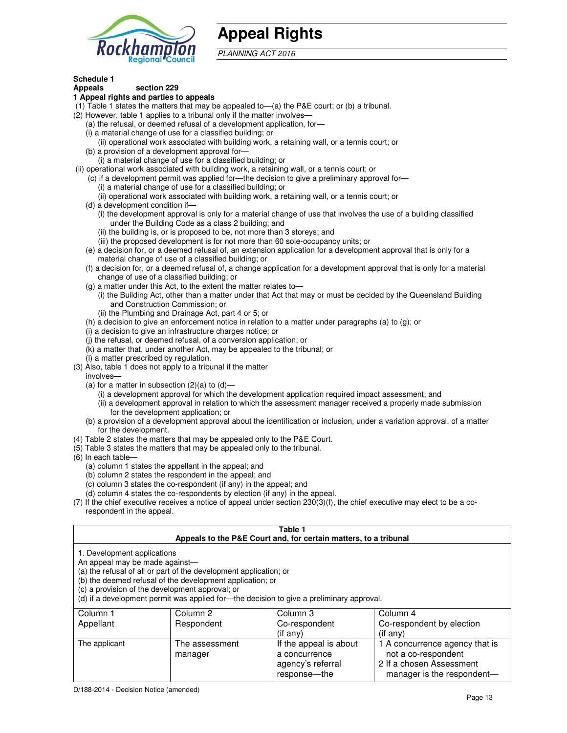

# **Appeal Rights**

PLANNING ACT 2016

# **Schedule 1**

#### **Appeals section 229 1 Appeal rights and parties to appeals**

- (1) Table 1 states the matters that may be appealed to—(a) the P&E court; or (b) a tribunal.
- (2) However, table 1 applies to a tribunal only if the matter involves—
	- (a) the refusal, or deemed refusal of a development application, for—
	- (i) a material change of use for a classified building; or
	- (ii) operational work associated with building work, a retaining wall, or a tennis court; or (b) a provision of a development approval for—
	- (i) a material change of use for a classified building; or
- (ii) operational work associated with building work, a retaining wall, or a tennis court; or
	- (c) if a development permit was applied for—the decision to give a preliminary approval for—
		- (i) a material change of use for a classified building; or
		- (ii) operational work associated with building work, a retaining wall, or a tennis court; or
	- (d) a development condition if—
		- (i) the development approval is only for a material change of use that involves the use of a building classified under the Building Code as a class 2 building; and
		- (ii) the building is, or is proposed to be, not more than 3 storeys; and
		- (iii) the proposed development is for not more than 60 sole-occupancy units; or
	- (e) a decision for, or a deemed refusal of, an extension application for a development approval that is only for a material change of use of a classified building; or
	- (f) a decision for, or a deemed refusal of, a change application for a development approval that is only for a material change of use of a classified building; or
	- (g) a matter under this Act, to the extent the matter relates to—
		- (i) the Building Act, other than a matter under that Act that may or must be decided by the Queensland Building and Construction Commission; or
		- (ii) the Plumbing and Drainage Act, part 4 or 5; or
	- (h) a decision to give an enforcement notice in relation to a matter under paragraphs (a) to (g); or
	- (i) a decision to give an infrastructure charges notice; or
	- (j) the refusal, or deemed refusal, of a conversion application; or
	- (k) a matter that, under another Act, may be appealed to the tribunal; or
	- (l) a matter prescribed by regulation.
- (3) Also, table 1 does not apply to a tribunal if the matter
- involves—
	- (a) for a matter in subsection  $(2)(a)$  to  $(d)$ 
		- (i) a development approval for which the development application required impact assessment; and
		- (ii) a development approval in relation to which the assessment manager received a properly made submission for the development application; or
	- (b) a provision of a development approval about the identification or inclusion, under a variation approval, of a matter for the development.
- (4) Table 2 states the matters that may be appealed only to the P&E Court.
- (5) Table 3 states the matters that may be appealed only to the tribunal.
- (6) In each table—
	- (a) column 1 states the appellant in the appeal; and
	- (b) column 2 states the respondent in the appeal; and
	- (c) column 3 states the co-respondent (if any) in the appeal; and
	- (d) column 4 states the co-respondents by election (if any) in the appeal.
- (7) If the chief executive receives a notice of appeal under section 230(3)(f), the chief executive may elect to be a corespondent in the appeal.

| Table 1<br>Appeals to the P&E Court and, for certain matters, to a tribunal                                                                                                                                                                                                                                                                    |                           |                                                              |                                                                                   |  |
|------------------------------------------------------------------------------------------------------------------------------------------------------------------------------------------------------------------------------------------------------------------------------------------------------------------------------------------------|---------------------------|--------------------------------------------------------------|-----------------------------------------------------------------------------------|--|
| 1. Development applications<br>An appeal may be made against-<br>(a) the refusal of all or part of the development application; or<br>(b) the deemed refusal of the development application; or<br>(c) a provision of the development approval; or<br>(d) if a development permit was applied for-the decision to give a preliminary approval. |                           |                                                              |                                                                                   |  |
| Column 1                                                                                                                                                                                                                                                                                                                                       | Column 2                  | Column 3                                                     | Column 4                                                                          |  |
| Appellant                                                                                                                                                                                                                                                                                                                                      | Respondent                | Co-respondent<br>$($ if any $)$                              | Co-respondent by election<br>(i f any)                                            |  |
| The applicant                                                                                                                                                                                                                                                                                                                                  | The assessment<br>manager | If the appeal is about<br>a concurrence<br>agency's referral | 1 A concurrence agency that is<br>not a co-respondent<br>2 If a chosen Assessment |  |

response—the

manager is the respondent-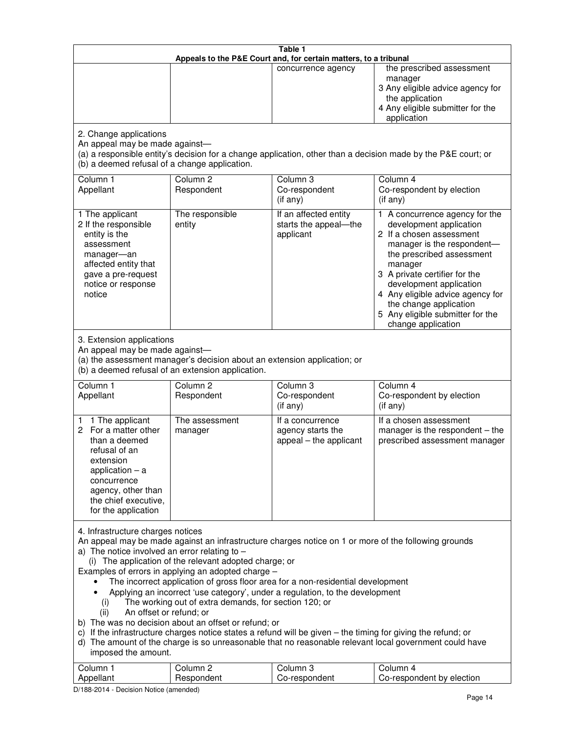| Table 1<br>Appeals to the P&E Court and, for certain matters, to a tribunal                                                                                                                                                                                                                                                                                                                                                                                                                                                                                                                                                                                                                                                                                                                                                                                                                                                                                       |                                                                                                                               |                                                                 |                                                                                                                                                                                                                                                                                                                                                 |  |
|-------------------------------------------------------------------------------------------------------------------------------------------------------------------------------------------------------------------------------------------------------------------------------------------------------------------------------------------------------------------------------------------------------------------------------------------------------------------------------------------------------------------------------------------------------------------------------------------------------------------------------------------------------------------------------------------------------------------------------------------------------------------------------------------------------------------------------------------------------------------------------------------------------------------------------------------------------------------|-------------------------------------------------------------------------------------------------------------------------------|-----------------------------------------------------------------|-------------------------------------------------------------------------------------------------------------------------------------------------------------------------------------------------------------------------------------------------------------------------------------------------------------------------------------------------|--|
|                                                                                                                                                                                                                                                                                                                                                                                                                                                                                                                                                                                                                                                                                                                                                                                                                                                                                                                                                                   |                                                                                                                               | concurrence agency                                              | the prescribed assessment<br>manager<br>3 Any eligible advice agency for<br>the application<br>4 Any eligible submitter for the<br>application                                                                                                                                                                                                  |  |
| 2. Change applications<br>An appeal may be made against-<br>(b) a deemed refusal of a change application.                                                                                                                                                                                                                                                                                                                                                                                                                                                                                                                                                                                                                                                                                                                                                                                                                                                         |                                                                                                                               |                                                                 | (a) a responsible entity's decision for a change application, other than a decision made by the P&E court; or                                                                                                                                                                                                                                   |  |
| Column 1<br>Appellant                                                                                                                                                                                                                                                                                                                                                                                                                                                                                                                                                                                                                                                                                                                                                                                                                                                                                                                                             | Column <sub>2</sub><br>Respondent                                                                                             | Column <sub>3</sub><br>Co-respondent<br>(if any)                | Column 4<br>Co-respondent by election<br>(if any)                                                                                                                                                                                                                                                                                               |  |
| 1 The applicant<br>2 If the responsible<br>entity is the<br>assessment<br>manager-an<br>affected entity that<br>gave a pre-request<br>notice or response<br>notice                                                                                                                                                                                                                                                                                                                                                                                                                                                                                                                                                                                                                                                                                                                                                                                                | The responsible<br>entity                                                                                                     | If an affected entity<br>starts the appeal-the<br>applicant     | 1 A concurrence agency for the<br>development application<br>2 If a chosen assessment<br>manager is the respondent-<br>the prescribed assessment<br>manager<br>3 A private certifier for the<br>development application<br>4 Any eligible advice agency for<br>the change application<br>5 Any eligible submitter for the<br>change application |  |
| 3. Extension applications<br>An appeal may be made against-                                                                                                                                                                                                                                                                                                                                                                                                                                                                                                                                                                                                                                                                                                                                                                                                                                                                                                       | (a) the assessment manager's decision about an extension application; or<br>(b) a deemed refusal of an extension application. |                                                                 |                                                                                                                                                                                                                                                                                                                                                 |  |
| Column 1<br>Appellant                                                                                                                                                                                                                                                                                                                                                                                                                                                                                                                                                                                                                                                                                                                                                                                                                                                                                                                                             | Column <sub>2</sub><br>Respondent                                                                                             | Column 3<br>Co-respondent<br>(if any)                           | Column 4<br>Co-respondent by election<br>(if any)                                                                                                                                                                                                                                                                                               |  |
| 1 The applicant<br>1.<br>For a matter other<br>2<br>than a deemed<br>refusal of an<br>extension<br>application $-$ a<br>concurrence<br>agency, other than<br>the chief executive,<br>for the application                                                                                                                                                                                                                                                                                                                                                                                                                                                                                                                                                                                                                                                                                                                                                          | The assessment<br>manager                                                                                                     | If a concurrence<br>agency starts the<br>appeal - the applicant | If a chosen assessment<br>manager is the respondent - the<br>prescribed assessment manager                                                                                                                                                                                                                                                      |  |
| 4. Infrastructure charges notices<br>An appeal may be made against an infrastructure charges notice on 1 or more of the following grounds<br>a) The notice involved an error relating to $-$<br>(i) The application of the relevant adopted charge; or<br>Examples of errors in applying an adopted charge -<br>The incorrect application of gross floor area for a non-residential development<br>Applying an incorrect 'use category', under a regulation, to the development<br>The working out of extra demands, for section 120; or<br>(i)<br>An offset or refund; or<br>(ii)<br>b) The was no decision about an offset or refund; or<br>c) If the infrastructure charges notice states a refund will be given - the timing for giving the refund; or<br>d) The amount of the charge is so unreasonable that no reasonable relevant local government could have<br>imposed the amount.<br>Column 1<br>Column <sub>2</sub><br>Column <sub>3</sub><br>Column 4 |                                                                                                                               |                                                                 |                                                                                                                                                                                                                                                                                                                                                 |  |
| Appellant                                                                                                                                                                                                                                                                                                                                                                                                                                                                                                                                                                                                                                                                                                                                                                                                                                                                                                                                                         | Respondent                                                                                                                    | Co-respondent                                                   | Co-respondent by election                                                                                                                                                                                                                                                                                                                       |  |

D/188-2014 - Decision Notice (amended)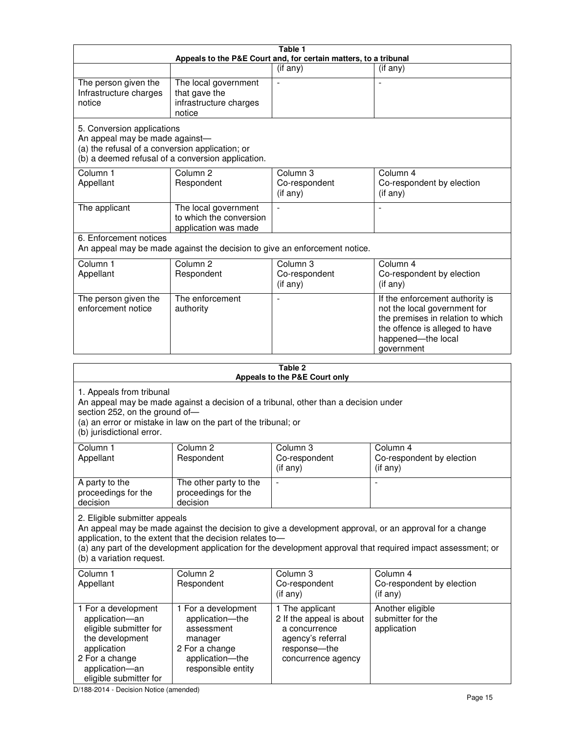| Table 1<br>Appeals to the P&E Court and, for certain matters, to a tribunal                                                                                                                                                                                                                                                                     |                                                                                                                                                                                                                     |                                                                                                                         |                                                                                                                                                                            |  |  |
|-------------------------------------------------------------------------------------------------------------------------------------------------------------------------------------------------------------------------------------------------------------------------------------------------------------------------------------------------|---------------------------------------------------------------------------------------------------------------------------------------------------------------------------------------------------------------------|-------------------------------------------------------------------------------------------------------------------------|----------------------------------------------------------------------------------------------------------------------------------------------------------------------------|--|--|
|                                                                                                                                                                                                                                                                                                                                                 |                                                                                                                                                                                                                     | (if any)                                                                                                                | $($ if any $)$                                                                                                                                                             |  |  |
| The person given the<br>Infrastructure charges<br>notice                                                                                                                                                                                                                                                                                        | The local government<br>that gave the<br>infrastructure charges<br>notice                                                                                                                                           | $\blacksquare$                                                                                                          |                                                                                                                                                                            |  |  |
| 5. Conversion applications<br>An appeal may be made against-<br>(a) the refusal of a conversion application; or                                                                                                                                                                                                                                 | (b) a deemed refusal of a conversion application.                                                                                                                                                                   |                                                                                                                         |                                                                                                                                                                            |  |  |
| Column 1<br>Appellant                                                                                                                                                                                                                                                                                                                           | Column <sub>2</sub><br>Respondent                                                                                                                                                                                   | Column 3<br>Co-respondent<br>(if any)                                                                                   | Column 4<br>Co-respondent by election<br>(if any)                                                                                                                          |  |  |
| The applicant                                                                                                                                                                                                                                                                                                                                   | The local government<br>to which the conversion<br>application was made                                                                                                                                             | $\blacksquare$                                                                                                          | $\overline{\phantom{a}}$                                                                                                                                                   |  |  |
| 6. Enforcement notices                                                                                                                                                                                                                                                                                                                          | An appeal may be made against the decision to give an enforcement notice.                                                                                                                                           |                                                                                                                         |                                                                                                                                                                            |  |  |
| Column 1<br>Appellant                                                                                                                                                                                                                                                                                                                           | Column <sub>2</sub><br>Respondent                                                                                                                                                                                   | Column 3<br>Co-respondent<br>(if any)                                                                                   | Column 4<br>Co-respondent by election<br>(if any)                                                                                                                          |  |  |
| The person given the<br>enforcement notice                                                                                                                                                                                                                                                                                                      | The enforcement<br>authority                                                                                                                                                                                        |                                                                                                                         | If the enforcement authority is<br>not the local government for<br>the premises in relation to which<br>the offence is alleged to have<br>happened-the local<br>government |  |  |
|                                                                                                                                                                                                                                                                                                                                                 |                                                                                                                                                                                                                     | Table 2<br>Appeals to the P&E Court only                                                                                |                                                                                                                                                                            |  |  |
| (b) jurisdictional error.                                                                                                                                                                                                                                                                                                                       | 1. Appeals from tribunal<br>An appeal may be made against a decision of a tribunal, other than a decision under<br>section 252, on the ground of-<br>(a) an error or mistake in law on the part of the tribunal; or |                                                                                                                         |                                                                                                                                                                            |  |  |
| Column 1<br>Appellant                                                                                                                                                                                                                                                                                                                           | Column 2<br>Respondent                                                                                                                                                                                              | Column 3<br>Co-respondent<br>$($ if any $)$                                                                             | Column 4<br>Co-respondent by election<br>(i f any)                                                                                                                         |  |  |
| A party to the<br>proceedings for the<br>decision                                                                                                                                                                                                                                                                                               | The other party to the<br>proceedings for the<br>decision                                                                                                                                                           | $\qquad \qquad \blacksquare$                                                                                            |                                                                                                                                                                            |  |  |
| 2. Eligible submitter appeals<br>An appeal may be made against the decision to give a development approval, or an approval for a change<br>application, to the extent that the decision relates to-<br>(a) any part of the development application for the development approval that required impact assessment; or<br>(b) a variation request. |                                                                                                                                                                                                                     |                                                                                                                         |                                                                                                                                                                            |  |  |
| Column 1<br>Appellant                                                                                                                                                                                                                                                                                                                           | Column 2<br>Respondent                                                                                                                                                                                              | Column 3<br>Co-respondent<br>$($ if any $)$                                                                             | Column 4<br>Co-respondent by election<br>(if any)                                                                                                                          |  |  |
| 1 For a development<br>application-an<br>eligible submitter for<br>the development<br>application<br>2 For a change                                                                                                                                                                                                                             | 1 For a development<br>application-the<br>assessment<br>manager<br>2 For a change<br>application-the                                                                                                                | 1 The applicant<br>2 If the appeal is about<br>a concurrence<br>agency's referral<br>response-the<br>concurrence agency | Another eligible<br>submitter for the<br>application                                                                                                                       |  |  |

D/188-2014 - Decision Notice (amended)

eligible submitter for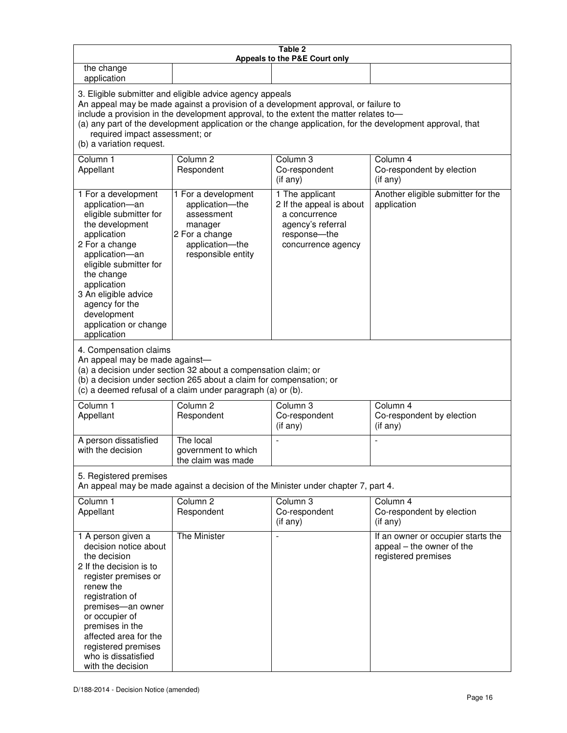| Table 2<br>Appeals to the P&E Court only                                                                                                                                                                                                                                                                                                                                                                           |                                                                                                                                                                                                      |                                                                                                                         |                                                                                        |  |  |
|--------------------------------------------------------------------------------------------------------------------------------------------------------------------------------------------------------------------------------------------------------------------------------------------------------------------------------------------------------------------------------------------------------------------|------------------------------------------------------------------------------------------------------------------------------------------------------------------------------------------------------|-------------------------------------------------------------------------------------------------------------------------|----------------------------------------------------------------------------------------|--|--|
| the change<br>application                                                                                                                                                                                                                                                                                                                                                                                          |                                                                                                                                                                                                      |                                                                                                                         |                                                                                        |  |  |
| 3. Eligible submitter and eligible advice agency appeals<br>An appeal may be made against a provision of a development approval, or failure to<br>include a provision in the development approval, to the extent the matter relates to-<br>(a) any part of the development application or the change application, for the development approval, that<br>required impact assessment; or<br>(b) a variation request. |                                                                                                                                                                                                      |                                                                                                                         |                                                                                        |  |  |
| Column 1<br>Appellant                                                                                                                                                                                                                                                                                                                                                                                              | Column <sub>2</sub><br>Respondent                                                                                                                                                                    | Column 3<br>Co-respondent<br>(if any)                                                                                   | Column 4<br>Co-respondent by election<br>(if any)                                      |  |  |
| 1 For a development<br>application-an<br>eligible submitter for<br>the development<br>application<br>2 For a change<br>application-an<br>eligible submitter for<br>the change<br>application<br>3 An eligible advice<br>agency for the<br>development<br>application or change<br>application                                                                                                                      | 1 For a development<br>application-the<br>assessment<br>manager<br>2 For a change<br>application-the<br>responsible entity                                                                           | 1 The applicant<br>2 If the appeal is about<br>a concurrence<br>agency's referral<br>response-the<br>concurrence agency | Another eligible submitter for the<br>application                                      |  |  |
| 4. Compensation claims<br>An appeal may be made against-                                                                                                                                                                                                                                                                                                                                                           | (a) a decision under section 32 about a compensation claim; or<br>(b) a decision under section 265 about a claim for compensation; or<br>(c) a deemed refusal of a claim under paragraph (a) or (b). |                                                                                                                         |                                                                                        |  |  |
| Column <sub>1</sub><br>Appellant                                                                                                                                                                                                                                                                                                                                                                                   | Column <sub>2</sub><br>Respondent                                                                                                                                                                    | Column 3<br>Co-respondent<br>(if any)                                                                                   | Column 4<br>Co-respondent by election<br>(if any)                                      |  |  |
| A person dissatisfied<br>with the decision                                                                                                                                                                                                                                                                                                                                                                         | The local<br>government to which<br>the claim was made                                                                                                                                               |                                                                                                                         |                                                                                        |  |  |
| 5. Registered premises<br>An appeal may be made against a decision of the Minister under chapter 7, part 4.                                                                                                                                                                                                                                                                                                        |                                                                                                                                                                                                      |                                                                                                                         |                                                                                        |  |  |
| Column 1<br>Appellant                                                                                                                                                                                                                                                                                                                                                                                              | Column <sub>2</sub><br>Respondent                                                                                                                                                                    | Column <sub>3</sub><br>Co-respondent<br>(if any)                                                                        | Column 4<br>Co-respondent by election<br>(if any)                                      |  |  |
| 1 A person given a<br>decision notice about<br>the decision<br>2 If the decision is to<br>register premises or<br>renew the<br>registration of<br>premises-an owner<br>or occupier of<br>premises in the<br>affected area for the<br>registered premises<br>who is dissatisfied<br>with the decision                                                                                                               | The Minister                                                                                                                                                                                         | $\blacksquare$                                                                                                          | If an owner or occupier starts the<br>appeal – the owner of the<br>registered premises |  |  |